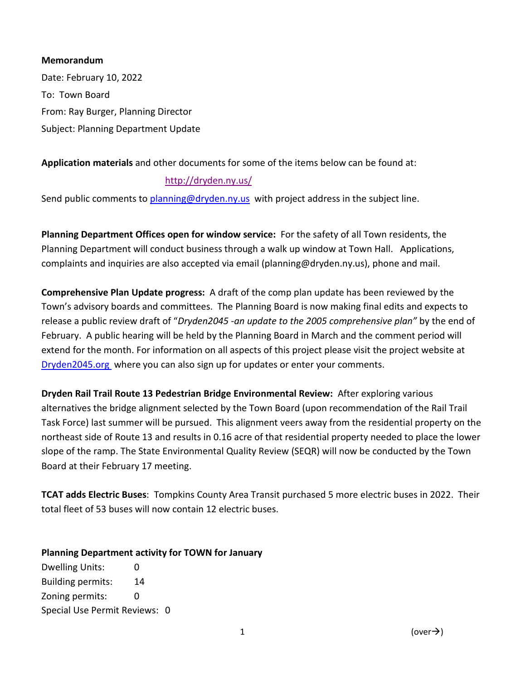#### **Memorandum**

Date: February 10, 2022 To: Town Board From: Ray Burger, Planning Director Subject: Planning Department Update

## **Application materials** and other documents for some of the items below can be found at:

### <http://dryden.ny.us/>

Send public comments to [planning@dryden.ny.us](mailto:planning@dryden.ny.us) with project address in the subject line.

**Planning Department Offices open for window service:** For the safety of all Town residents, the Planning Department will conduct business through a walk up window at Town Hall. Applications, complaints and inquiries are also accepted via email (planning@dryden.ny.us), phone and mail.

**Comprehensive Plan Update progress:** A draft of the comp plan update has been reviewed by the Town's advisory boards and committees. The Planning Board is now making final edits and expects to release a public review draft of "*Dryden2045 -an update to the 2005 comprehensive plan"* by the end of February. A public hearing will be held by the Planning Board in March and the comment period will extend for the month. For information on all aspects of this project please visit the project website at [Dryden2045.org](https://www.dryden2045.org/) where you can also sign up for updates or enter your comments.

**Dryden Rail Trail Route 13 Pedestrian Bridge Environmental Review:** After exploring various alternatives the bridge alignment selected by the Town Board (upon recommendation of the Rail Trail Task Force) last summer will be pursued. This alignment veers away from the residential property on the northeast side of Route 13 and results in 0.16 acre of that residential property needed to place the lower slope of the ramp. The State Environmental Quality Review (SEQR) will now be conducted by the Town Board at their February 17 meeting.

**TCAT adds Electric Buses**: Tompkins County Area Transit purchased 5 more electric buses in 2022. Their total fleet of 53 buses will now contain 12 electric buses.

### **Planning Department activity for TOWN for January**

Dwelling Units: 0 Building permits: 14 Zoning permits: 0 Special Use Permit Reviews: 0